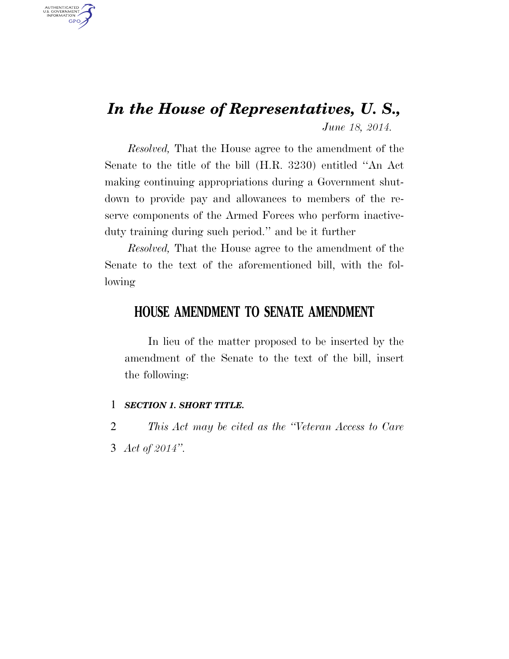## *In the House of Representatives, U. S., June 18, 2014.*

*Resolved,* That the House agree to the amendment of the Senate to the title of the bill (H.R. 3230) entitled ''An Act making continuing appropriations during a Government shutdown to provide pay and allowances to members of the reserve components of the Armed Forces who perform inactiveduty training during such period.'' and be it further

*Resolved,* That the House agree to the amendment of the Senate to the text of the aforementioned bill, with the following

#### **HOUSE AMENDMENT TO SENATE AMENDMENT**

In lieu of the matter proposed to be inserted by the amendment of the Senate to the text of the bill, insert the following:

#### 1 *SECTION 1. SHORT TITLE.*

AUTHENTICATED<br>U.S. GOVERNMENT<br>INFORMATION **GPO** 

> 2 *This Act may be cited as the ''Veteran Access to Care*  3 *Act of 2014''.*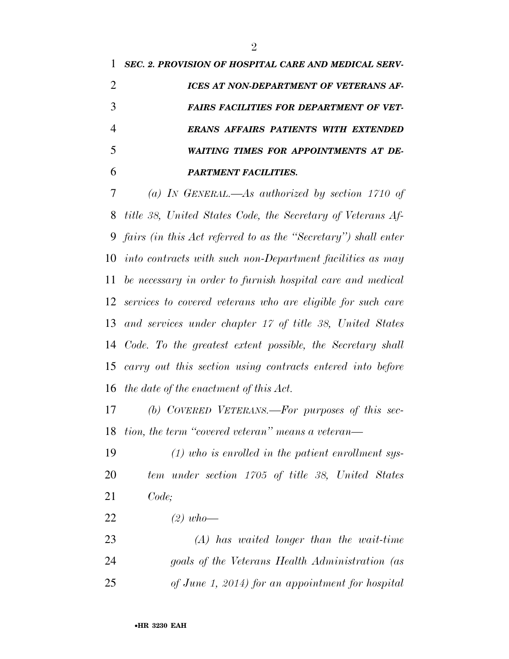*SEC. 2. PROVISION OF HOSPITAL CARE AND MEDICAL SERV- ICES AT NON-DEPARTMENT OF VETERANS AF- FAIRS FACILITIES FOR DEPARTMENT OF VET- ERANS AFFAIRS PATIENTS WITH EXTENDED WAITING TIMES FOR APPOINTMENTS AT DE-PARTMENT FACILITIES.* 

 *(a) IN GENERAL.—As authorized by section 1710 of title 38, United States Code, the Secretary of Veterans Af- fairs (in this Act referred to as the ''Secretary'') shall enter into contracts with such non-Department facilities as may be necessary in order to furnish hospital care and medical services to covered veterans who are eligible for such care and services under chapter 17 of title 38, United States Code. To the greatest extent possible, the Secretary shall carry out this section using contracts entered into before the date of the enactment of this Act.* 

 *(b) COVERED VETERANS.—For purposes of this sec-tion, the term ''covered veteran'' means a veteran—* 

 *(1) who is enrolled in the patient enrollment sys- tem under section 1705 of title 38, United States Code;* 

*(2) who—* 

 *(A) has waited longer than the wait-time goals of the Veterans Health Administration (as of June 1, 2014) for an appointment for hospital*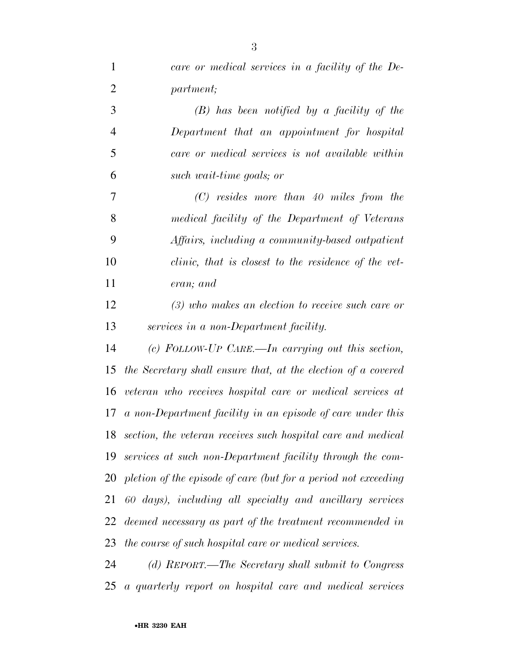| $\mathbf{1}$   | care or medical services in a facility of the De-              |
|----------------|----------------------------------------------------------------|
| $\overline{2}$ | partment;                                                      |
| 3              | $(B)$ has been notified by a facility of the                   |
| $\overline{4}$ | Department that an appointment for hospital                    |
| 5              | care or medical services is not available within               |
| 6              | such wait-time goals; or                                       |
| 7              | $(C)$ resides more than 40 miles from the                      |
| 8              | medical facility of the Department of Veterans                 |
| 9              | Affairs, including a community-based outpatient                |
| 10             | clinic, that is closest to the residence of the vet-           |
| 11             | eran; and                                                      |
| 12             | $(3)$ who makes an election to receive such care or            |
| 13             | services in a non-Department facility.                         |
| 14             | (c) FOLLOW-UP CARE.—In carrying out this section,              |
| 15             | the Secretary shall ensure that, at the election of a covered  |
| 16             | veteran who receives hospital care or medical services at      |
| 17             | a non-Department facility in an episode of care under this     |
| 18             | section, the veteran receives such hospital care and medical   |
| 19             | services at such non-Department facility through the com-      |
| 20             | pletion of the episode of care (but for a period not exceeding |
| 21             | 60 days), including all specialty and ancillary services       |
| 22             | deemed necessary as part of the treatment recommended in       |
| 23             | the course of such hospital care or medical services.          |
| 24             | (d) REPORT.—The Secretary shall submit to Congress             |
| 25             | a quarterly report on hospital care and medical services       |

•**HR 3230 EAH**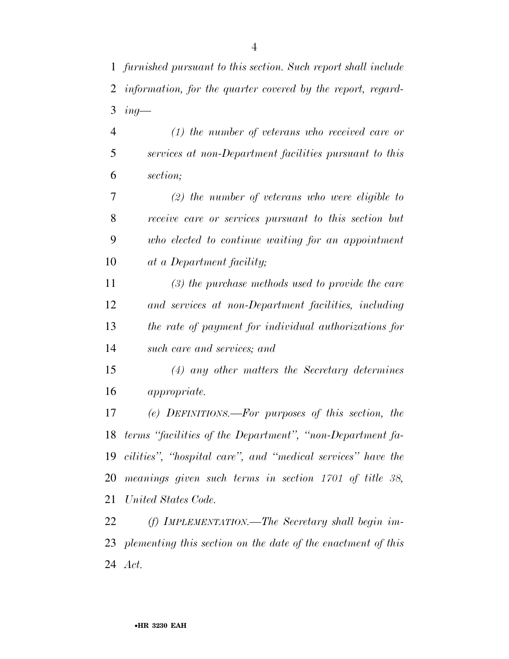*furnished pursuant to this section. Such report shall include information, for the quarter covered by the report, regard-ing—* 

 *(1) the number of veterans who received care or services at non-Department facilities pursuant to this section;* 

 *(2) the number of veterans who were eligible to receive care or services pursuant to this section but who elected to continue waiting for an appointment at a Department facility;* 

 *(3) the purchase methods used to provide the care and services at non-Department facilities, including the rate of payment for individual authorizations for such care and services; and* 

 *(4) any other matters the Secretary determines appropriate.* 

 *(e) DEFINITIONS.—For purposes of this section, the terms ''facilities of the Department'', ''non-Department fa- cilities'', ''hospital care'', and ''medical services'' have the meanings given such terms in section 1701 of title 38, United States Code.* 

 *(f) IMPLEMENTATION.—The Secretary shall begin im- plementing this section on the date of the enactment of this Act.*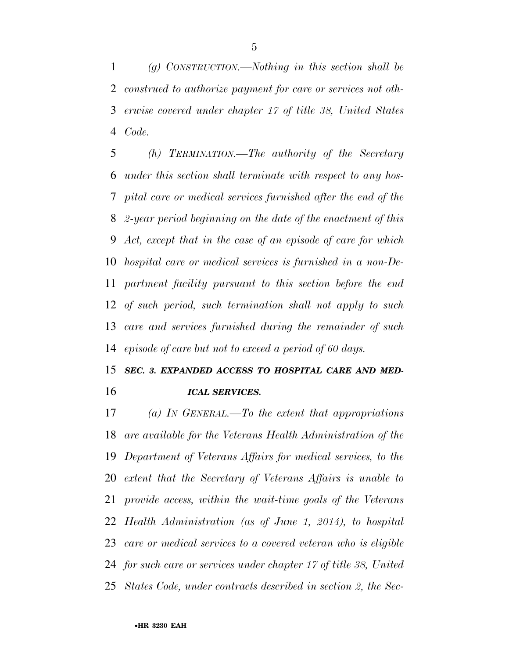*(g) CONSTRUCTION.—Nothing in this section shall be construed to authorize payment for care or services not oth- erwise covered under chapter 17 of title 38, United States Code.* 

 *(h) TERMINATION.—The authority of the Secretary under this section shall terminate with respect to any hos- pital care or medical services furnished after the end of the 2-year period beginning on the date of the enactment of this Act, except that in the case of an episode of care for which hospital care or medical services is furnished in a non-De- partment facility pursuant to this section before the end of such period, such termination shall not apply to such care and services furnished during the remainder of such episode of care but not to exceed a period of 60 days.* 

## *SEC. 3. EXPANDED ACCESS TO HOSPITAL CARE AND MED-ICAL SERVICES.*

 *(a) IN GENERAL.—To the extent that appropriations are available for the Veterans Health Administration of the Department of Veterans Affairs for medical services, to the extent that the Secretary of Veterans Affairs is unable to provide access, within the wait-time goals of the Veterans Health Administration (as of June 1, 2014), to hospital care or medical services to a covered veteran who is eligible for such care or services under chapter 17 of title 38, United States Code, under contracts described in section 2, the Sec-*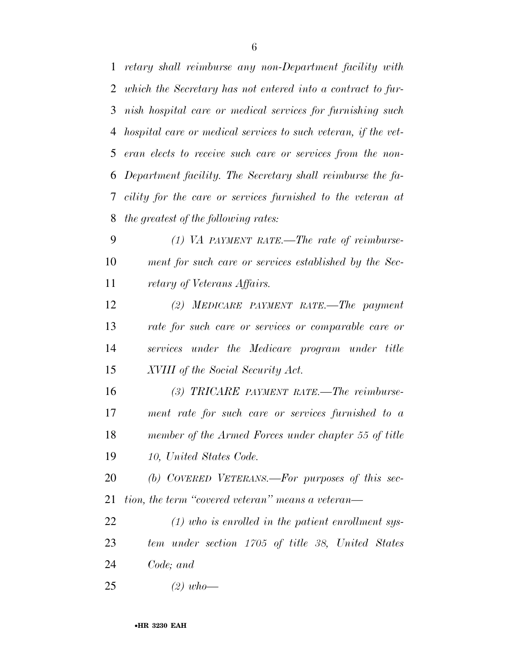*retary shall reimburse any non-Department facility with which the Secretary has not entered into a contract to fur- nish hospital care or medical services for furnishing such hospital care or medical services to such veteran, if the vet- eran elects to receive such care or services from the non- Department facility. The Secretary shall reimburse the fa- cility for the care or services furnished to the veteran at the greatest of the following rates:* 

 *(1) VA PAYMENT RATE.—The rate of reimburse- ment for such care or services established by the Sec-retary of Veterans Affairs.* 

 *(2) MEDICARE PAYMENT RATE.—The payment rate for such care or services or comparable care or services under the Medicare program under title XVIII of the Social Security Act.* 

 *(3) TRICARE PAYMENT RATE.—The reimburse- ment rate for such care or services furnished to a member of the Armed Forces under chapter 55 of title 10, United States Code.* 

 *(b) COVERED VETERANS.—For purposes of this sec-tion, the term ''covered veteran'' means a veteran—* 

 *(1) who is enrolled in the patient enrollment sys- tem under section 1705 of title 38, United States Code; and* 

*(2) who—*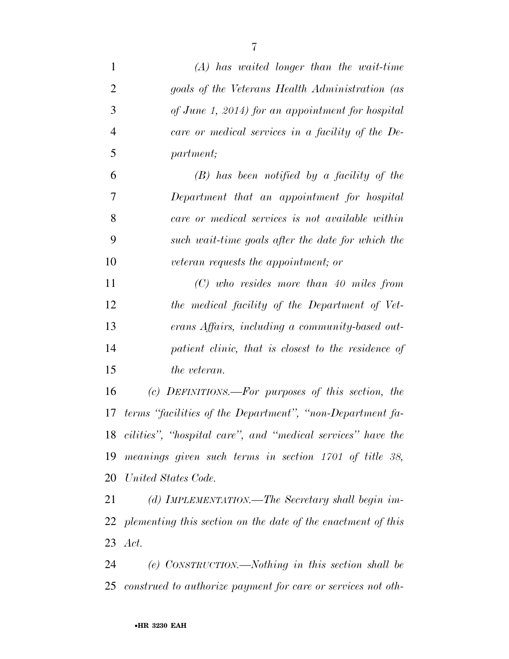| $\mathbf{1}$   | $(A)$ has waited longer than the wait-time                      |
|----------------|-----------------------------------------------------------------|
| $\overline{2}$ | goals of the Veterans Health Administration (as                 |
| 3              | of June 1, 2014) for an appointment for hospital                |
| $\overline{4}$ | care or medical services in a facility of the De-               |
| 5              | partment;                                                       |
| 6              | $(B)$ has been notified by a facility of the                    |
| 7              | Department that an appointment for hospital                     |
| 8              | care or medical services is not available within                |
| 9              | such wait-time goals after the date for which the               |
| 10             | veteran requests the appointment; or                            |
| 11             | $(C)$ who resides more than 40 miles from                       |
| 12             | the medical facility of the Department of Vet-                  |
| 13             | erans Affairs, including a community-based out-                 |
| 14             | patient clinic, that is closest to the residence of             |
| 15             | the veteran.                                                    |
| 16             | (c) DEFINITIONS.—For purposes of this section, the              |
| 17             | terms "facilities of the Department", "non-Department fa-       |
| 18             | cilities", "hospital care", and "medical services" have the     |
| 19             | meanings given such terms in section 1701 of title 38,          |
| 20             | United States Code.                                             |
| 21             | (d) IMPLEMENTATION.—The Secretary shall begin im-               |
|                | 22 plementing this section on the date of the enactment of this |
|                | 23 <i>Act.</i>                                                  |
| 24             | (e) CONSTRUCTION.—Nothing in this section shall be              |
| 25             | construed to authorize payment for care or services not oth-    |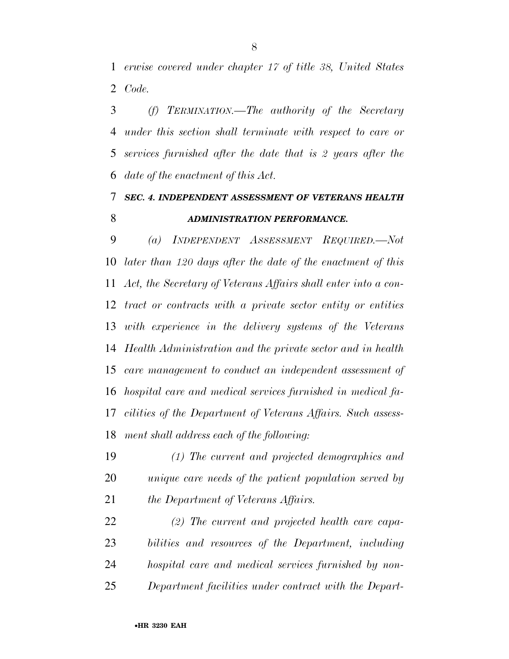*erwise covered under chapter 17 of title 38, United States Code.* 

 *(f) TERMINATION.—The authority of the Secretary under this section shall terminate with respect to care or services furnished after the date that is 2 years after the date of the enactment of this Act.* 

### *SEC. 4. INDEPENDENT ASSESSMENT OF VETERANS HEALTH ADMINISTRATION PERFORMANCE.*

 *(a) INDEPENDENT ASSESSMENT REQUIRED.—Not later than 120 days after the date of the enactment of this Act, the Secretary of Veterans Affairs shall enter into a con- tract or contracts with a private sector entity or entities with experience in the delivery systems of the Veterans Health Administration and the private sector and in health care management to conduct an independent assessment of hospital care and medical services furnished in medical fa- cilities of the Department of Veterans Affairs. Such assess-ment shall address each of the following:* 

 *(1) The current and projected demographics and unique care needs of the patient population served by the Department of Veterans Affairs.* 

 *(2) The current and projected health care capa- bilities and resources of the Department, including hospital care and medical services furnished by non-Department facilities under contract with the Depart-*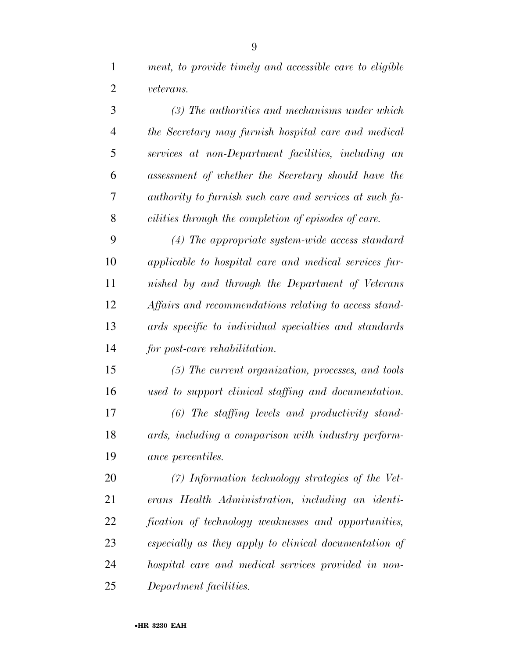*ment, to provide timely and accessible care to eligible veterans.* 

| 3              | (3) The authorities and mechanisms under which          |
|----------------|---------------------------------------------------------|
| $\overline{4}$ | the Secretary may furnish hospital care and medical     |
| 5              | services at non-Department facilities, including an     |
| 6              | assessment of whether the Secretary should have the     |
| 7              | authority to furnish such care and services at such fa- |
| 8              | cilities through the completion of episodes of care.    |
| 9              | $(4)$ The appropriate system-wide access standard       |
| 10             | applicable to hospital care and medical services fur-   |
| 11             | nished by and through the Department of Veterans        |
| 12             | Affairs and recommendations relating to access stand-   |
| 13             | ards specific to individual specialties and standards   |
| 14             | for post-care rehabilitation.                           |
| 15             | (5) The current organization, processes, and tools      |
| 16             | used to support clinical staffing and documentation.    |
| 17             | (6) The staffing levels and productivity stand-         |
| 18             | ards, including a comparison with industry perform-     |
| 19             | ance percentiles.                                       |
| 20             | (7) Information technology strategies of the Vet-       |
| 21             | erans Health Administration, including an identi-       |
| 22             | fication of technology weaknesses and opportunities,    |
| 23             | especially as they apply to clinical documentation of   |
| 24             | hospital care and medical services provided in non-     |
| 25             | Department facilities.                                  |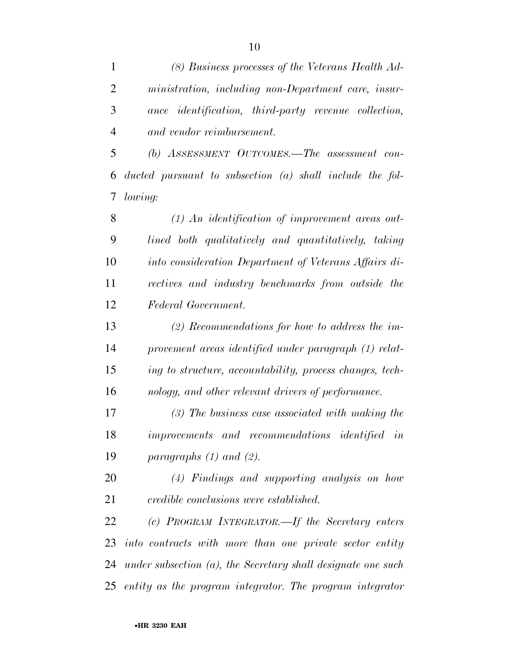| $\mathbf{1}$   | (8) Business processes of the Veterans Health Ad-               |
|----------------|-----------------------------------------------------------------|
| $\overline{2}$ | ministration, including non-Department care, insur-             |
| 3              | ance identification, third-party revenue collection,            |
| $\overline{4}$ | and vendor reimbursement.                                       |
| 5              | (b) ASSESSMENT OUTCOMES.—The assessment con-                    |
| 6              | ducted pursuant to subsection $(a)$ shall include the fol-      |
| 7              | lowing:                                                         |
| 8              | $(1)$ An identification of improvement areas out-               |
| 9              | lined both qualitatively and quantitatively, taking             |
| 10             | into consideration Department of Veterans Affairs di-           |
| 11             | rectives and industry benchmarks from outside the               |
| 12             | Federal Government.                                             |
| 13             | $(2)$ Recommendations for how to address the im-                |
| 14             | provement areas identified under paragraph (1) relat-           |
| 15             | ing to structure, accountability, process changes, tech-        |
| 16             | nology, and other relevant drivers of performance.              |
| 17             | $(3)$ The business case associated with making the              |
| 18             | improvements and recommendations identified in                  |
| 19             | paragraphs $(1)$ and $(2)$ .                                    |
| 20             | (4) Findings and supporting analysis on how                     |
| 21             | credible conclusions were established.                          |
| 22             | (c) PROGRAM INTEGRATOR.—If the Secretary enters                 |
| 23             | into contracts with more than one private sector entity         |
| 24             | under subsection $(a)$ , the Secretary shall designate one such |
|                | 25 entity as the program integrator. The program integrator     |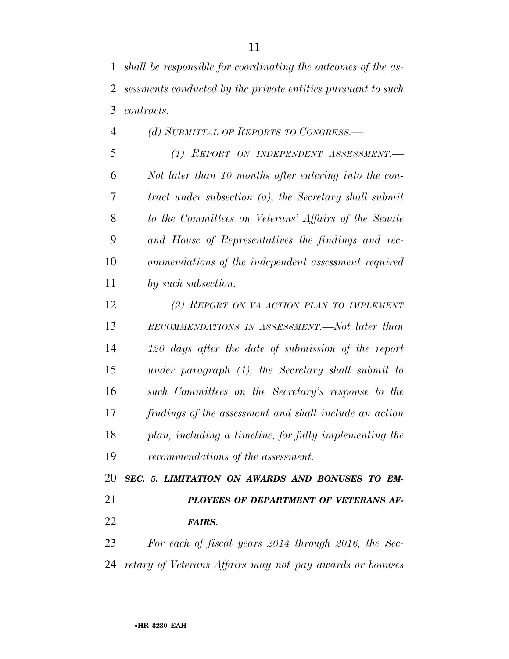*(d) SUBMITTAL OF REPORTS TO CONGRESS.— (1) REPORT ON INDEPENDENT ASSESSMENT.— Not later than 10 months after entering into the con- tract under subsection (a), the Secretary shall submit to the Committees on Veterans' Affairs of the Senate and House of Representatives the findings and rec- ommendations of the independent assessment required by such subsection.* 

 *(2) REPORT ON VA ACTION PLAN TO IMPLEMENT RECOMMENDATIONS IN ASSESSMENT.—Not later than 120 days after the date of submission of the report under paragraph (1), the Secretary shall submit to such Committees on the Secretary's response to the findings of the assessment and shall include an action plan, including a timeline, for fully implementing the recommendations of the assessment.* 

 *SEC. 5. LIMITATION ON AWARDS AND BONUSES TO EM- PLOYEES OF DEPARTMENT OF VETERANS AF-FAIRS.* 

 *For each of fiscal years 2014 through 2016, the Sec-retary of Veterans Affairs may not pay awards or bonuses*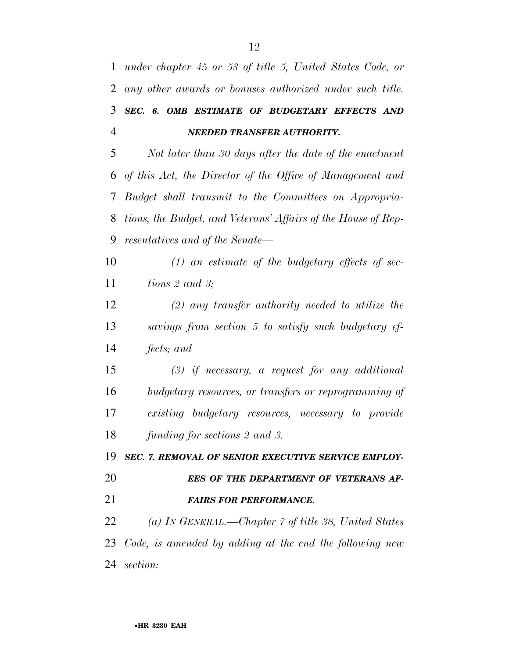*under chapter 45 or 53 of title 5, United States Code, or any other awards or bonuses authorized under such title. SEC. 6. OMB ESTIMATE OF BUDGETARY EFFECTS AND NEEDED TRANSFER AUTHORITY.* 

 *Not later than 30 days after the date of the enactment of this Act, the Director of the Office of Management and Budget shall transmit to the Committees on Appropria- tions, the Budget, and Veterans' Affairs of the House of Rep-resentatives and of the Senate—* 

 *(1) an estimate of the budgetary effects of sec-tions 2 and 3;* 

 *(2) any transfer authority needed to utilize the savings from section 5 to satisfy such budgetary ef-fects; and* 

 *(3) if necessary, a request for any additional budgetary resources, or transfers or reprogramming of existing budgetary resources, necessary to provide funding for sections 2 and 3.* 

*SEC. 7. REMOVAL OF SENIOR EXECUTIVE SERVICE EMPLOY-*

# *EES OF THE DEPARTMENT OF VETERANS AF-*

*FAIRS FOR PERFORMANCE.* 

 *(a) IN GENERAL.—Chapter 7 of title 38, United States Code, is amended by adding at the end the following new section:*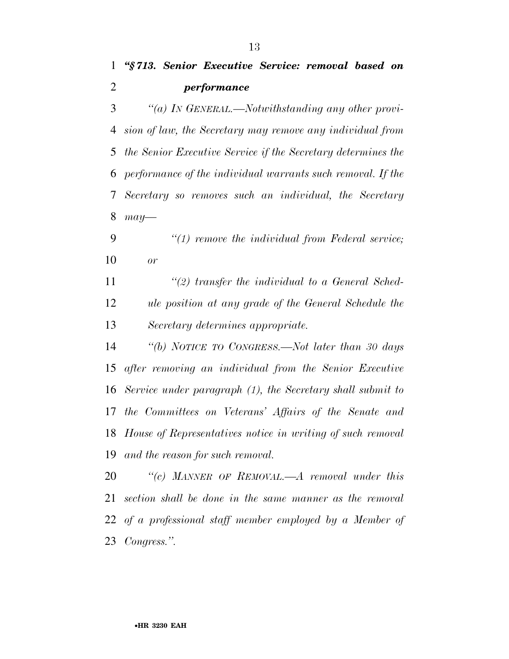*''(a) IN GENERAL.—Notwithstanding any other provi- sion of law, the Secretary may remove any individual from the Senior Executive Service if the Secretary determines the performance of the individual warrants such removal. If the Secretary so removes such an individual, the Secretary may—* 

 *''(1) remove the individual from Federal service; or* 

 *''(2) transfer the individual to a General Sched- ule position at any grade of the General Schedule the Secretary determines appropriate.* 

 *''(b) NOTICE TO CONGRESS.—Not later than 30 days after removing an individual from the Senior Executive Service under paragraph (1), the Secretary shall submit to the Committees on Veterans' Affairs of the Senate and House of Representatives notice in writing of such removal and the reason for such removal.* 

 *''(c) MANNER OF REMOVAL.—A removal under this section shall be done in the same manner as the removal of a professional staff member employed by a Member of Congress.''.*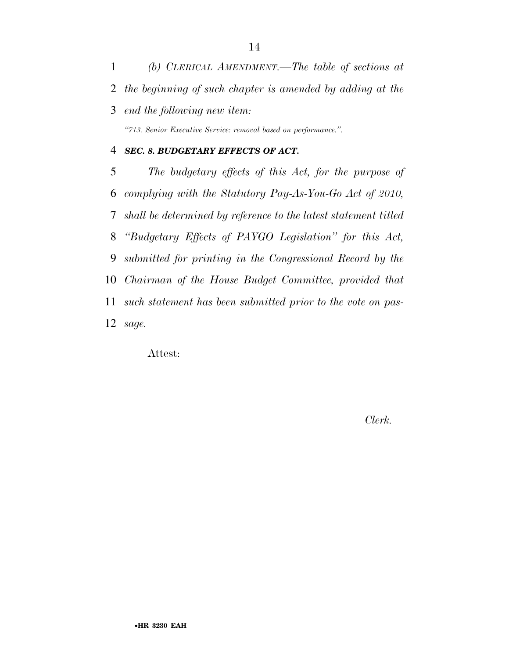*(b) CLERICAL AMENDMENT.—The table of sections at the beginning of such chapter is amended by adding at the end the following new item: ''713. Senior Executive Service: removal based on performance.''.* 

#### *SEC. 8. BUDGETARY EFFECTS OF ACT.*

 *The budgetary effects of this Act, for the purpose of complying with the Statutory Pay-As-You-Go Act of 2010, shall be determined by reference to the latest statement titled ''Budgetary Effects of PAYGO Legislation'' for this Act, submitted for printing in the Congressional Record by the Chairman of the House Budget Committee, provided that such statement has been submitted prior to the vote on pas-sage.* 

Attest:

*Clerk.*